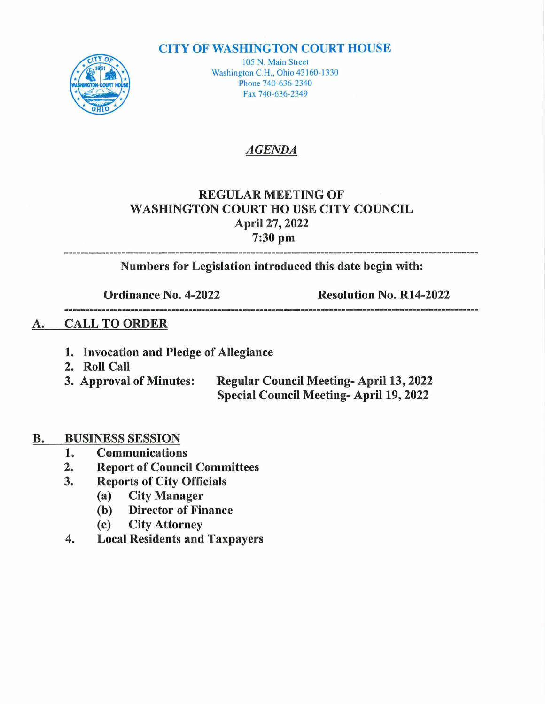#### **CITY OF WASHINGTON COURT HOUSE**



105 N. Main Street Washington C.H., Ohio 43160-1330 Phone 740-636-2340 Fax 740-636-2349

# AGENDA

# REGULAR MEETING OF WASHINGTON COURT HO USE CITY COUNCIL April 27, 2022 ril 27, 20<br>7:30 pm

Numbers for Legislation introduced this date begin with:

Ordinance No. 4-2022 Resolution No. R14-2022 

#### A. CALL TO ORDER

- 1. Invocation and Pledge of Allegiance
- 
- 2. Roll Call<br>3. Approval of Minutes: Regular Council Meeting- April 13, 2022 Special Council Meeting- April 19, 2022

# **B.** BUSINESS SESSION<br>1. Communication

- 1. Communications<br>2. Report of Counci
- 2. Report of Council Committees<br>3. Reports of City Officials
- 2. Report of Council Comm<br>3. Reports of City Officials
	- Reports of City Offi<br>(a) City Manager
	- (a) City Manager<br>(b) Director of Finance
	- (c) City Attorney
- 4. Local Residents and Taxpayers